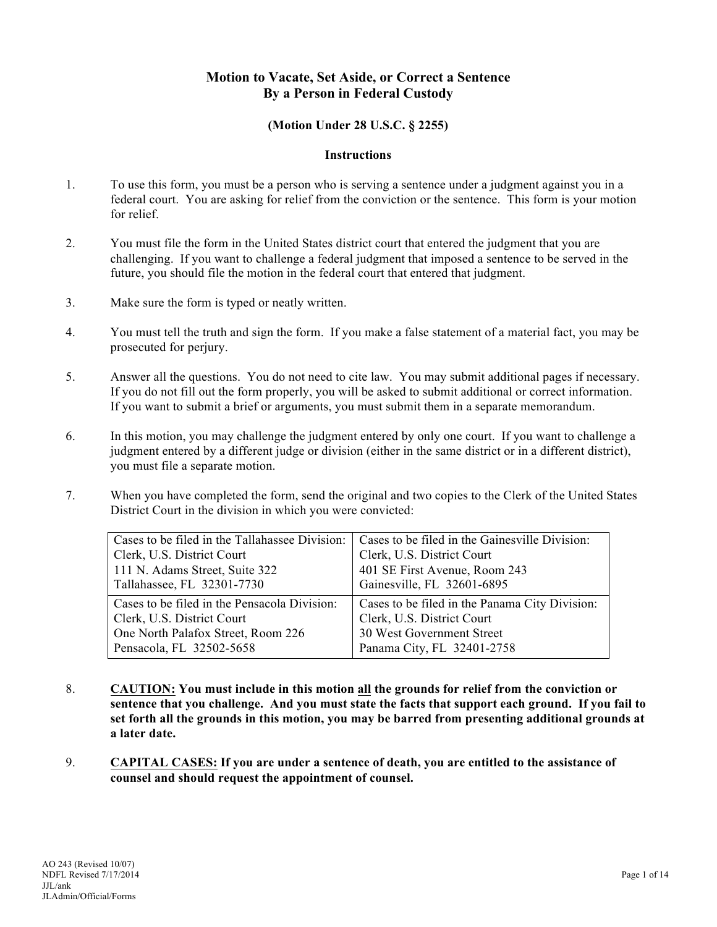# **Motion to Vacate, Set Aside, or Correct a Sentence By a Person in Federal Custody**

### **(Motion Under 28 U.S.C. § 2255)**

#### **Instructions**

- 1. To use this form, you must be a person who is serving a sentence under a judgment against you in a federal court. You are asking for relief from the conviction or the sentence. This form is your motion for relief.
- 2. You must file the form in the United States district court that entered the judgment that you are challenging. If you want to challenge a federal judgment that imposed a sentence to be served in the future, you should file the motion in the federal court that entered that judgment.
- 3. Make sure the form is typed or neatly written.
- 4. You must tell the truth and sign the form. If you make a false statement of a material fact, you may be prosecuted for perjury.
- 5. Answer all the questions. You do not need to cite law. You may submit additional pages if necessary. If you do not fill out the form properly, you will be asked to submit additional or correct information. If you want to submit a brief or arguments, you must submit them in a separate memorandum.
- 6. In this motion, you may challenge the judgment entered by only one court. If you want to challenge a judgment entered by a different judge or division (either in the same district or in a different district), you must file a separate motion.
- 7. When you have completed the form, send the original and two copies to the Clerk of the United States District Court in the division in which you were convicted:

| Cases to be filed in the Tallahassee Division: | Cases to be filed in the Gainesville Division: |  |  |  |
|------------------------------------------------|------------------------------------------------|--|--|--|
| Clerk, U.S. District Court                     | Clerk, U.S. District Court                     |  |  |  |
| 111 N. Adams Street, Suite 322                 | 401 SE First Avenue, Room 243                  |  |  |  |
| Tallahassee, FL 32301-7730                     | Gainesville, FL 32601-6895                     |  |  |  |
| Cases to be filed in the Pensacola Division:   | Cases to be filed in the Panama City Division: |  |  |  |
| Clerk, U.S. District Court                     | Clerk, U.S. District Court                     |  |  |  |
| One North Palafox Street, Room 226             | 30 West Government Street                      |  |  |  |
| Pensacola, FL 32502-5658                       | Panama City, FL 32401-2758                     |  |  |  |

- 8. **CAUTION: You must include in this motion all the grounds for relief from the conviction or sentence that you challenge. And you must state the facts that support each ground. If you fail to set forth all the grounds in this motion, you may be barred from presenting additional grounds at a later date.**
- 9. **CAPITAL CASES: If you are under a sentence of death, you are entitled to the assistance of counsel and should request the appointment of counsel.**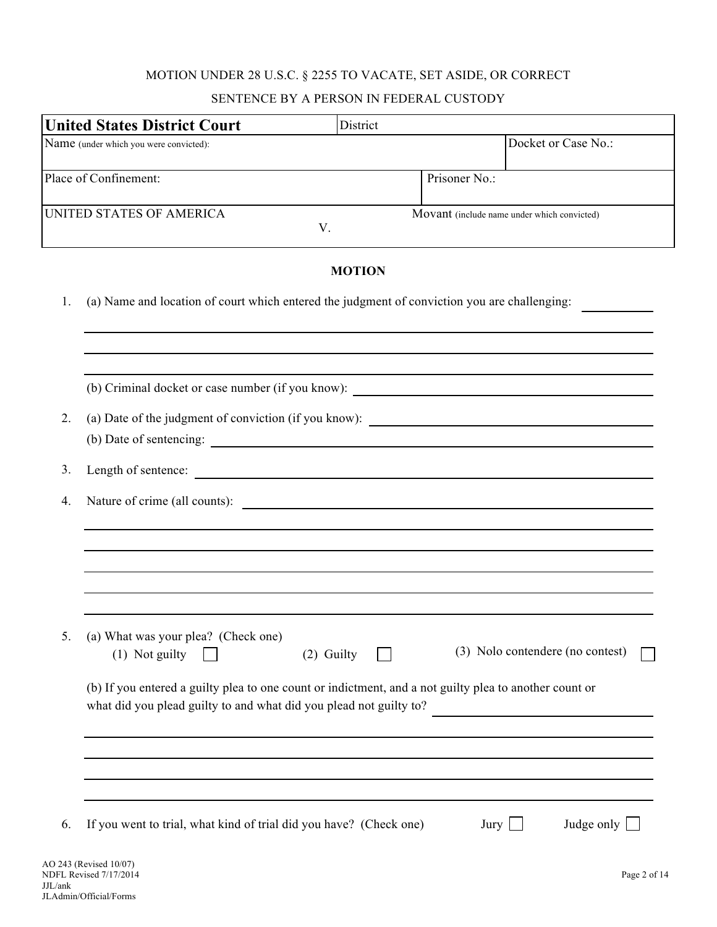# MOTION UNDER 28 U.S.C. § 2255 TO VACATE, SET ASIDE, OR CORRECT

## SENTENCE BY A PERSON IN FEDERAL CUSTODY

|                                        | <b>United States District Court</b>                                                                                                                                          | District      |               |                                             |                                  |
|----------------------------------------|------------------------------------------------------------------------------------------------------------------------------------------------------------------------------|---------------|---------------|---------------------------------------------|----------------------------------|
| Name (under which you were convicted): |                                                                                                                                                                              |               |               |                                             | Docket or Case No.:              |
| Place of Confinement:                  |                                                                                                                                                                              |               | Prisoner No.: |                                             |                                  |
| UNITED STATES OF AMERICA               |                                                                                                                                                                              | V.            |               | Movant (include name under which convicted) |                                  |
|                                        |                                                                                                                                                                              | <b>MOTION</b> |               |                                             |                                  |
| 1.                                     | (a) Name and location of court which entered the judgment of conviction you are challenging:                                                                                 |               |               |                                             |                                  |
|                                        | (b) Criminal docket or case number (if you know): _______________________________                                                                                            |               |               |                                             |                                  |
| 2.                                     | (a) Date of the judgment of conviction (if you know): ___________________________                                                                                            |               |               |                                             |                                  |
| 3.                                     | Length of sentence:                                                                                                                                                          |               |               |                                             |                                  |
| 4.                                     | Nature of crime (all counts):                                                                                                                                                |               |               |                                             |                                  |
|                                        |                                                                                                                                                                              |               |               |                                             |                                  |
| 5.                                     | (a) What was your plea? (Check one)<br>(1) Not guilty                                                                                                                        | (2) Guilty    |               |                                             | (3) Nolo contendere (no contest) |
|                                        | (b) If you entered a guilty plea to one count or indictment, and a not guilty plea to another count or<br>what did you plead guilty to and what did you plead not guilty to? |               |               |                                             |                                  |
|                                        |                                                                                                                                                                              |               |               |                                             |                                  |
| 6.                                     | If you went to trial, what kind of trial did you have? (Check one)                                                                                                           |               |               | Jury                                        | Judge only                       |
|                                        | AO 243 (Revised 10/07)<br>NDFL Revised 7/17/2014                                                                                                                             |               |               |                                             | Page 2 of 14                     |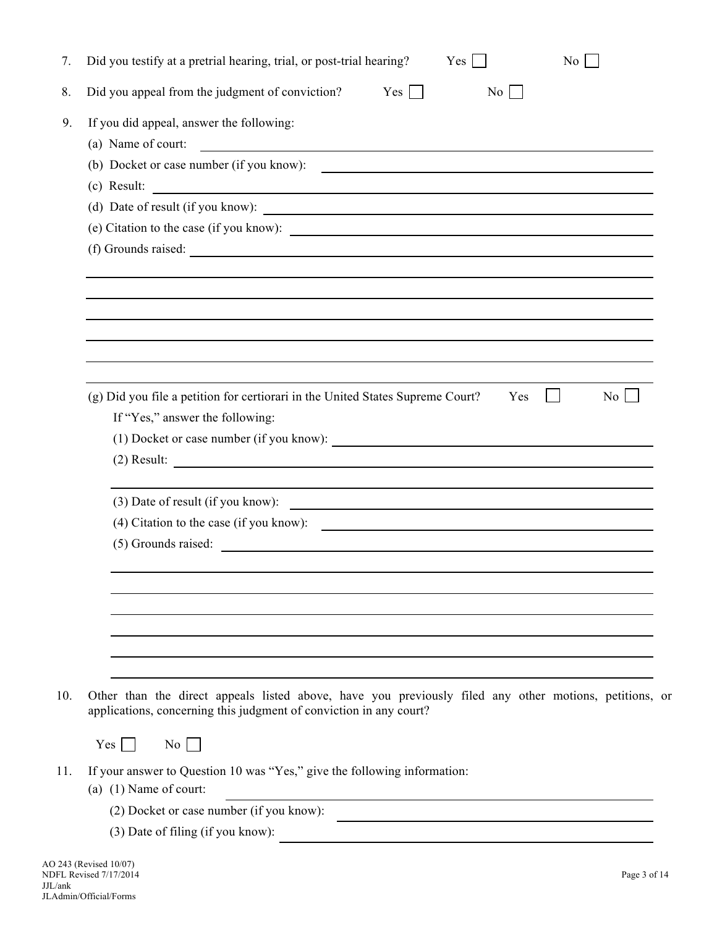| 7.  | Did you testify at a pretrial hearing, trial, or post-trial hearing?<br>Yes<br>N <sub>0</sub>                                                                                |
|-----|------------------------------------------------------------------------------------------------------------------------------------------------------------------------------|
| 8.  | Did you appeal from the judgment of conviction?<br>Yes<br>$\mathcal{L}$<br>No                                                                                                |
| 9.  | If you did appeal, answer the following:                                                                                                                                     |
|     | (a) Name of court:<br><u> 1989 - Andrea Station Barbara, amerikan personal di sebagai personal di sebagai personal di sebagai personal </u>                                  |
|     | (b) Docket or case number (if you know):                                                                                                                                     |
|     | <u> Alexandria de la contrada de la contrada de la contrada de la contrada de la contrada de la contrada de la c</u><br>$(c)$ Result:                                        |
|     | (d) Date of result (if you know):                                                                                                                                            |
|     | (e) Citation to the case (if you know):                                                                                                                                      |
|     | (f) Grounds raised:                                                                                                                                                          |
|     |                                                                                                                                                                              |
|     |                                                                                                                                                                              |
|     |                                                                                                                                                                              |
|     |                                                                                                                                                                              |
|     |                                                                                                                                                                              |
|     |                                                                                                                                                                              |
|     | (g) Did you file a petition for certiorari in the United States Supreme Court?<br>Yes<br>No <sub>1</sub>                                                                     |
|     | If "Yes," answer the following:                                                                                                                                              |
|     | (1) Docket or case number (if you know):                                                                                                                                     |
|     | $(2)$ Result:                                                                                                                                                                |
|     | (3) Date of result (if you know):<br><u> 1989 - Johann Barn, fransk politik formuler (d. 1989)</u>                                                                           |
|     |                                                                                                                                                                              |
|     | $(5)$ Grounds raised:                                                                                                                                                        |
|     |                                                                                                                                                                              |
|     |                                                                                                                                                                              |
|     |                                                                                                                                                                              |
|     |                                                                                                                                                                              |
|     |                                                                                                                                                                              |
|     |                                                                                                                                                                              |
| 10. | Other than the direct appeals listed above, have you previously filed any other motions, petitions, or<br>applications, concerning this judgment of conviction in any court? |
|     |                                                                                                                                                                              |
|     | No<br>Yes                                                                                                                                                                    |
| 11. | If your answer to Question 10 was "Yes," give the following information:                                                                                                     |
|     | (a) $(1)$ Name of court:                                                                                                                                                     |
|     |                                                                                                                                                                              |
|     | (2) Docket or case number (if you know):                                                                                                                                     |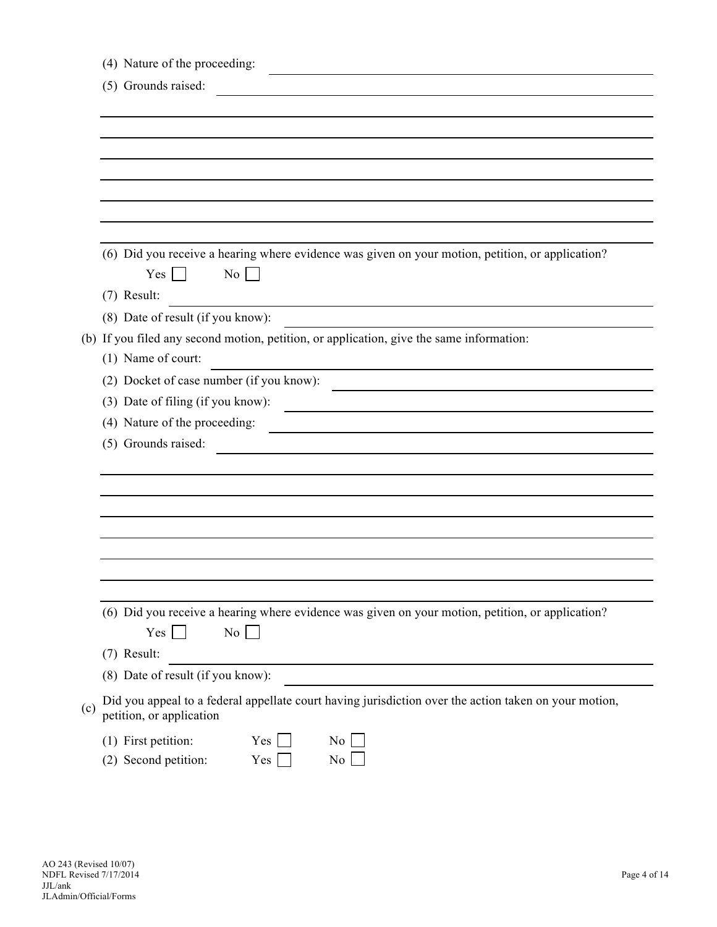|     | (4) Nature of the proceeding:                                                                                                     |
|-----|-----------------------------------------------------------------------------------------------------------------------------------|
|     | (5) Grounds raised:                                                                                                               |
|     |                                                                                                                                   |
|     |                                                                                                                                   |
|     |                                                                                                                                   |
|     |                                                                                                                                   |
|     |                                                                                                                                   |
|     |                                                                                                                                   |
|     |                                                                                                                                   |
|     | (6) Did you receive a hearing where evidence was given on your motion, petition, or application?<br>Yes<br>No <sub>1</sub>        |
|     | (7) Result:                                                                                                                       |
|     | (8) Date of result (if you know):                                                                                                 |
|     | (b) If you filed any second motion, petition, or application, give the same information:                                          |
|     | (1) Name of court:                                                                                                                |
|     | (2) Docket of case number (if you know):                                                                                          |
|     | (3) Date of filing (if you know):                                                                                                 |
|     | (4) Nature of the proceeding:                                                                                                     |
|     | (5) Grounds raised:                                                                                                               |
|     |                                                                                                                                   |
|     |                                                                                                                                   |
|     |                                                                                                                                   |
|     |                                                                                                                                   |
|     |                                                                                                                                   |
|     |                                                                                                                                   |
|     |                                                                                                                                   |
|     | (6) Did you receive a hearing where evidence was given on your motion, petition, or application?                                  |
|     | No<br>Yes                                                                                                                         |
|     | (7) Result:                                                                                                                       |
|     | (8) Date of result (if you know):                                                                                                 |
| (c) | Did you appeal to a federal appellate court having jurisdiction over the action taken on your motion,<br>petition, or application |
|     | (1) First petition:<br>Yes<br>No.<br>(2) Second petition:<br>No<br>Yes                                                            |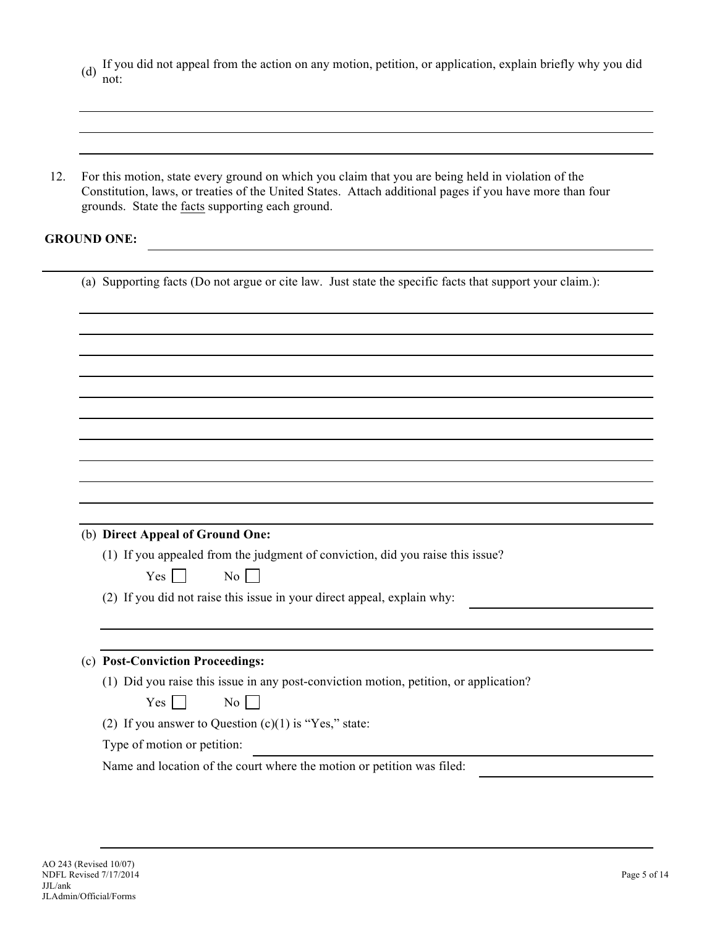- (d) If you did not appeal from the action on any motion, petition, or application, explain briefly why you did not:
- 12. For this motion, state every ground on which you claim that you are being held in violation of the Constitution, laws, or treaties of the United States. Attach additional pages if you have more than four grounds. State the facts supporting each ground.

## **GROUND ONE:**

| (a) Supporting facts (Do not argue or cite law. Just state the specific facts that support your claim.): |
|----------------------------------------------------------------------------------------------------------|
|                                                                                                          |
|                                                                                                          |
|                                                                                                          |
|                                                                                                          |
|                                                                                                          |
|                                                                                                          |
|                                                                                                          |
|                                                                                                          |
|                                                                                                          |
|                                                                                                          |
|                                                                                                          |
|                                                                                                          |
| (b) Direct Appeal of Ground One:                                                                         |
| (1) If you appealed from the judgment of conviction, did you raise this issue?                           |
| Yes  <br>$\rm{No}$                                                                                       |
|                                                                                                          |
| (2) If you did not raise this issue in your direct appeal, explain why:                                  |
|                                                                                                          |
|                                                                                                          |
| (c) Post-Conviction Proceedings:                                                                         |
| (1) Did you raise this issue in any post-conviction motion, petition, or application?                    |
| Yes<br>No                                                                                                |
| (2) If you answer to Question $(c)(1)$ is "Yes," state:                                                  |
| Type of motion or petition:                                                                              |
| Name and location of the court where the motion or petition was filed:                                   |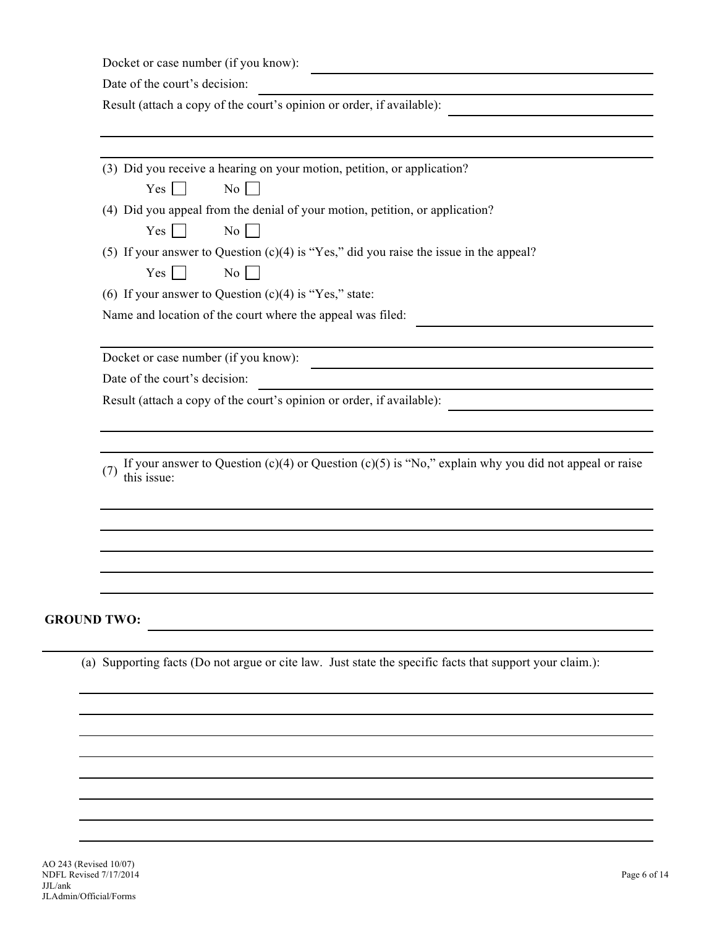Docket or case number (if you know):

Date of the court's decision:

Result (attach a copy of the court's opinion or order, if available):

(3) Did you receive a hearing on your motion, petition, or application?

 $Yes \Box \qquad No \Box$ 

(4) Did you appeal from the denial of your motion, petition, or application?

 $Yes \nightharpoonup No \nightharpoonup$ 

(5) If your answer to Question (c)(4) is "Yes," did you raise the issue in the appeal?

 $Yes \Box$  No  $\Box$ 

(6) If your answer to Question  $(c)(4)$  is "Yes," state:

Name and location of the court where the appeal was filed:

Docket or case number (if you know):

Date of the court's decision:

Result (attach a copy of the court's opinion or order, if available):

(7) If your answer to Question  $(c)(4)$  or Question  $(c)(5)$  is "No," explain why you did not appeal or raise this issue:

## **GROUND TWO:**

(a) Supporting facts (Do not argue or cite law. Just state the specific facts that support your claim.):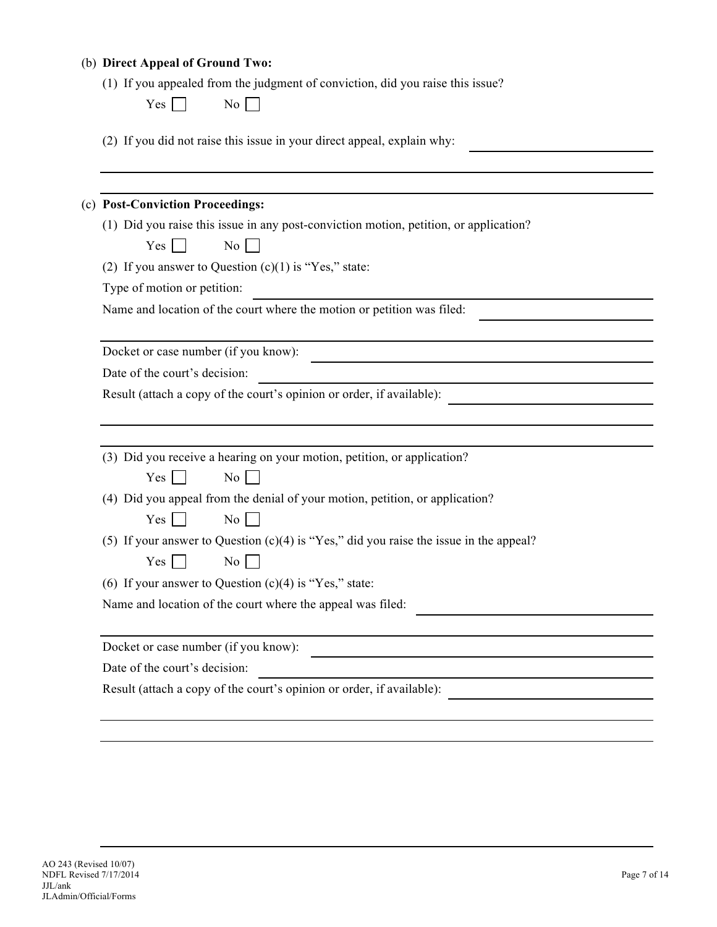### (b) **Direct Appeal of Ground Two:**

|  | (1) If you appealed from the judgment of conviction, did you raise this issue? |  |
|--|--------------------------------------------------------------------------------|--|
|  |                                                                                |  |

| Ÿ<br>′ es |  | Nο |
|-----------|--|----|
|-----------|--|----|

(2) If you did not raise this issue in your direct appeal, explain why:

#### (c) **Post-Conviction Proceedings:**

- (1) Did you raise this issue in any post-conviction motion, petition, or application?
	- $Yes \n\Box$  No  $\Box$
- (2) If you answer to Question  $(c)(1)$  is "Yes," state:

Type of motion or petition:

Name and location of the court where the motion or petition was filed:

Docket or case number (if you know):

Date of the court's decision:

Result (attach a copy of the court's opinion or order, if available):

(3) Did you receive a hearing on your motion, petition, or application?

 $Yes \Box$  No  $\Box$ 

(4) Did you appeal from the denial of your motion, petition, or application?

| es | Nο |
|----|----|
|----|----|

(5) If your answer to Question (c)(4) is "Yes," did you raise the issue in the appeal?

 $Yes \Box \qquad No \Box$ 

(6) If your answer to Question  $(c)(4)$  is "Yes," state:

Name and location of the court where the appeal was filed:

Docket or case number (if you know):

Date of the court's decision:

Result (attach a copy of the court's opinion or order, if available):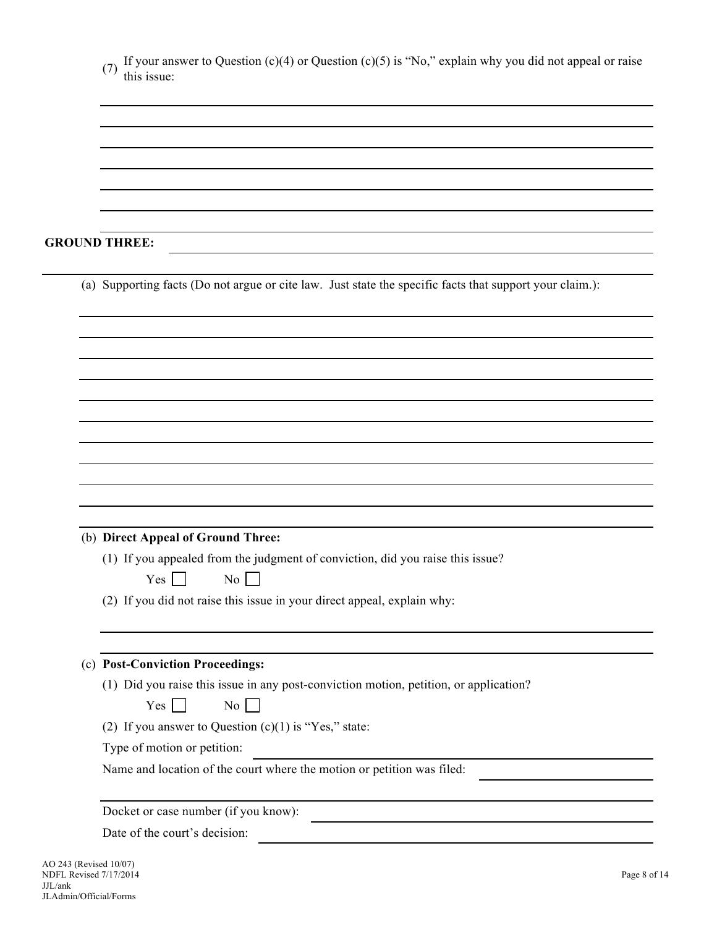| If your answer to Question $(c)(4)$ or Question $(c)(5)$ is "No," explain why you did not appeal or raise<br>(7)<br>this issue: |
|---------------------------------------------------------------------------------------------------------------------------------|
|                                                                                                                                 |
|                                                                                                                                 |
|                                                                                                                                 |
|                                                                                                                                 |
|                                                                                                                                 |
| <b>GROUND THREE:</b>                                                                                                            |
| (a) Supporting facts (Do not argue or cite law. Just state the specific facts that support your claim.):                        |
|                                                                                                                                 |
|                                                                                                                                 |
|                                                                                                                                 |
|                                                                                                                                 |
|                                                                                                                                 |
|                                                                                                                                 |
|                                                                                                                                 |
|                                                                                                                                 |
|                                                                                                                                 |
|                                                                                                                                 |
| (b) Direct Appeal of Ground Three:                                                                                              |
| (1) If you appealed from the judgment of conviction, did you raise this issue?                                                  |
| Yes<br>$\mathrm{No}$    <br>$\blacksquare$                                                                                      |
| (2) If you did not raise this issue in your direct appeal, explain why:                                                         |
|                                                                                                                                 |
| (c) Post-Conviction Proceedings:                                                                                                |
| (1) Did you raise this issue in any post-conviction motion, petition, or application?<br>$\overline{N_0}$<br>Yes                |
|                                                                                                                                 |
| (2) If you answer to Question $(c)(1)$ is "Yes," state:<br>Type of motion or petition:                                          |
| Name and location of the court where the motion or petition was filed:                                                          |
| Docket or case number (if you know):                                                                                            |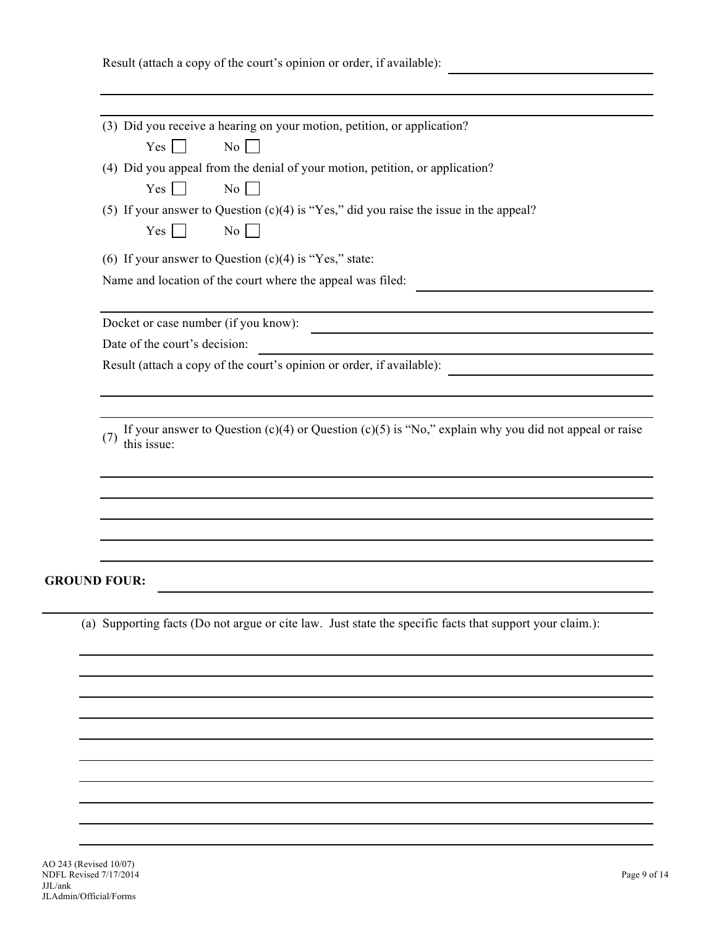| Result (attach a copy of the court's opinion or order, if available): |  |  |  |  |  |
|-----------------------------------------------------------------------|--|--|--|--|--|
|                                                                       |  |  |  |  |  |

| (3) Did you receive a hearing on your motion, petition, or application?                                  |
|----------------------------------------------------------------------------------------------------------|
| Yes<br>No                                                                                                |
| (4) Did you appeal from the denial of your motion, petition, or application?                             |
| No.<br>Yes                                                                                               |
| (5) If your answer to Question $(c)(4)$ is "Yes," did you raise the issue in the appeal?                 |
| Yes<br>No <sub>1</sub>                                                                                   |
| (6) If your answer to Question $(c)(4)$ is "Yes," state:                                                 |
| Name and location of the court where the appeal was filed:                                               |
|                                                                                                          |
| Docket or case number (if you know):                                                                     |
| Date of the court's decision:                                                                            |
| Result (attach a copy of the court's opinion or order, if available):                                    |
|                                                                                                          |
|                                                                                                          |
| (7)<br>this issue:                                                                                       |
|                                                                                                          |
|                                                                                                          |
|                                                                                                          |
|                                                                                                          |
| <b>GROUND FOUR:</b>                                                                                      |
|                                                                                                          |
| (a) Supporting facts (Do not argue or cite law. Just state the specific facts that support your claim.): |
|                                                                                                          |
|                                                                                                          |
|                                                                                                          |
|                                                                                                          |
|                                                                                                          |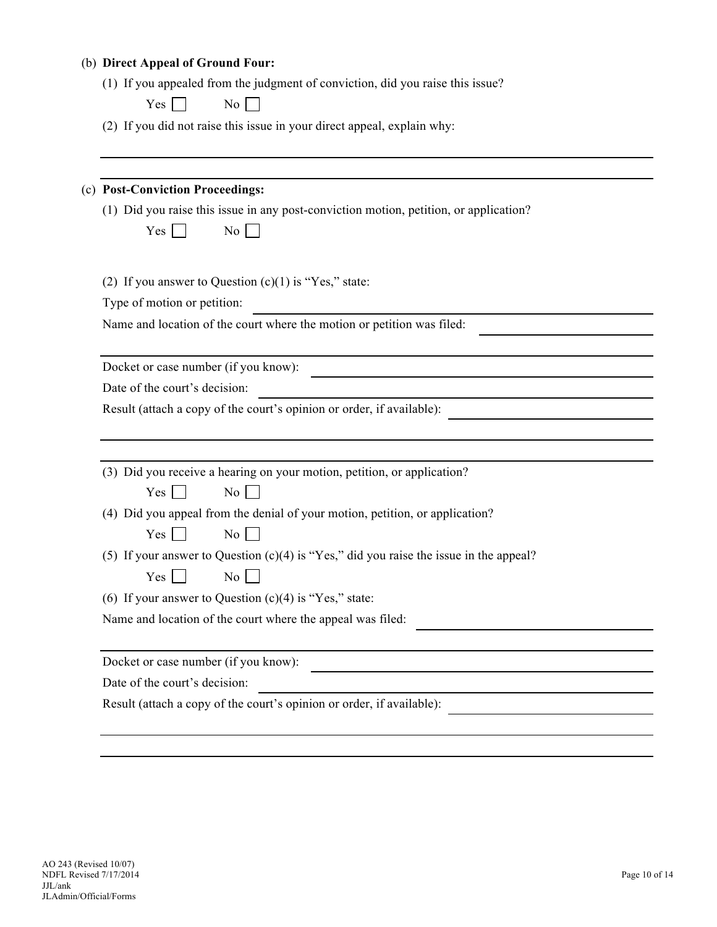#### (b) **Direct Appeal of Ground Four:**

|  |  |  | (1) If you appealed from the judgment of conviction, did you raise this issue? |
|--|--|--|--------------------------------------------------------------------------------|
|  |  |  |                                                                                |

| es | No |
|----|----|
|----|----|

(2) If you did not raise this issue in your direct appeal, explain why:

### (c) **Post-Conviction Proceedings:**

- (1) Did you raise this issue in any post-conviction motion, petition, or application?
	- $Yes \Box$  No  $\Box$

(2) If you answer to Question  $(c)(1)$  is "Yes," state:

Type of motion or petition:

Name and location of the court where the motion or petition was filed:

Docket or case number (if you know):

Date of the court's decision:

Result (attach a copy of the court's opinion or order, if available):

|  |  |  | (3) Did you receive a hearing on your motion, petition, or application? |
|--|--|--|-------------------------------------------------------------------------|
|  |  |  |                                                                         |
|  |  |  |                                                                         |
|  |  |  |                                                                         |

| N۵<br>es<br>۰ |  |
|---------------|--|
|---------------|--|

(4) Did you appeal from the denial of your motion, petition, or application?

 $Yes \Box$  No  $\Box$ 

(5) If your answer to Question (c)(4) is "Yes," did you raise the issue in the appeal?

 $Yes \Box$  No  $\Box$ 

(6) If your answer to Question  $(c)(4)$  is "Yes," state:

Name and location of the court where the appeal was filed:

Docket or case number (if you know):

Date of the court's decision:

Result (attach a copy of the court's opinion or order, if available):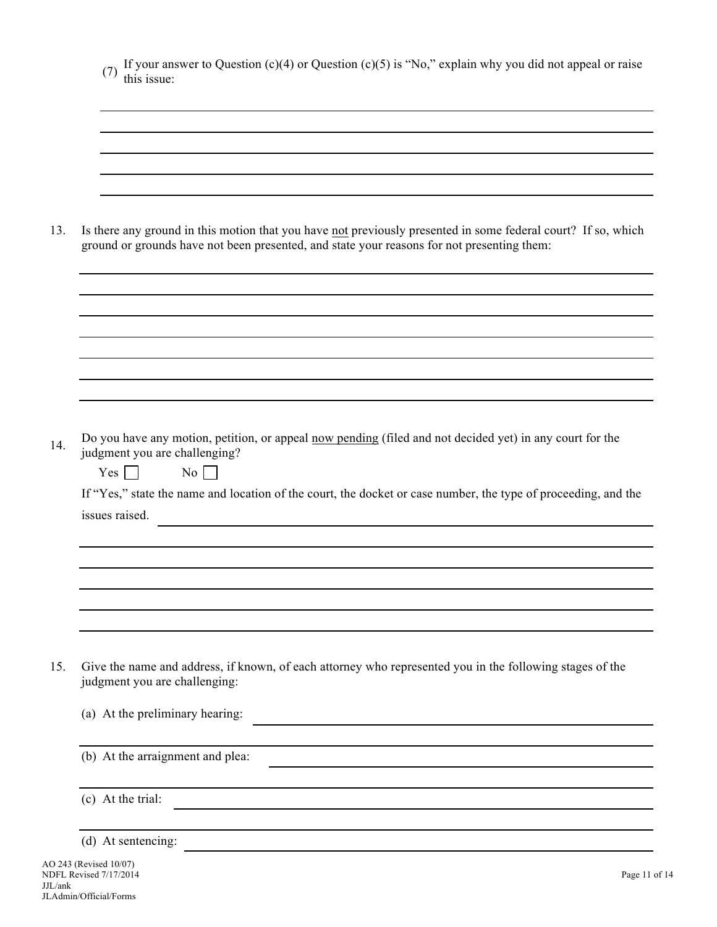| Is there any ground in this motion that you have not previously presented in some federal court? If so, which<br>ground or grounds have not been presented, and state your reasons for not presenting them: |
|-------------------------------------------------------------------------------------------------------------------------------------------------------------------------------------------------------------|
|                                                                                                                                                                                                             |
|                                                                                                                                                                                                             |
|                                                                                                                                                                                                             |
|                                                                                                                                                                                                             |
| Do you have any motion, petition, or appeal now pending (filed and not decided yet) in any court for the<br>judgment you are challenging?<br>$\overline{N_0}$<br>Yes<br>$\Box$<br>issues raised.            |
| If "Yes," state the name and location of the court, the docket or case number, the type of proceeding, and the                                                                                              |
|                                                                                                                                                                                                             |
| Give the name and address, if known, of each attorney who represented you in the following stages of the<br>judgment you are challenging:                                                                   |
| (a) At the preliminary hearing:<br><u> 1989 - John Stein, mars and de Brazilian (b. 19</u>                                                                                                                  |
| (b) At the arraignment and plea:                                                                                                                                                                            |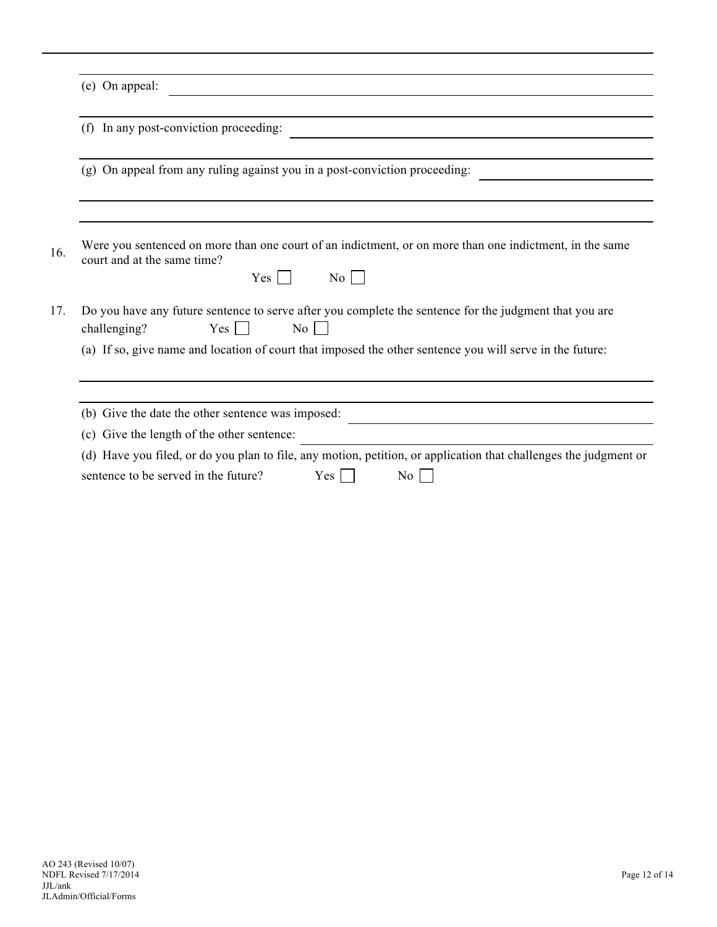| (f) In any post-conviction proceeding:                                                                                                                          |
|-----------------------------------------------------------------------------------------------------------------------------------------------------------------|
| (g) On appeal from any ruling against you in a post-conviction proceeding:                                                                                      |
| Were you sentenced on more than one court of an indictment, or on more than one indictment, in the same                                                         |
| court and at the same time?<br>$Yes \mid$<br>No<br>$\mathcal{L}$                                                                                                |
| Do you have any future sentence to serve after you complete the sentence for the judgment that you are<br>$Yes \mid \cdot$<br>$\mathrm{No}$    <br>challenging? |
| (a) If so, give name and location of court that imposed the other sentence you will serve in the future:                                                        |
| (b) Give the date the other sentence was imposed:                                                                                                               |
| (c) Give the length of the other sentence:                                                                                                                      |
| (d) Have you filed, or do you plan to file, any motion, petition, or application that challenges the judgment or                                                |
| sentence to be served in the future?<br>Yes  <br>No                                                                                                             |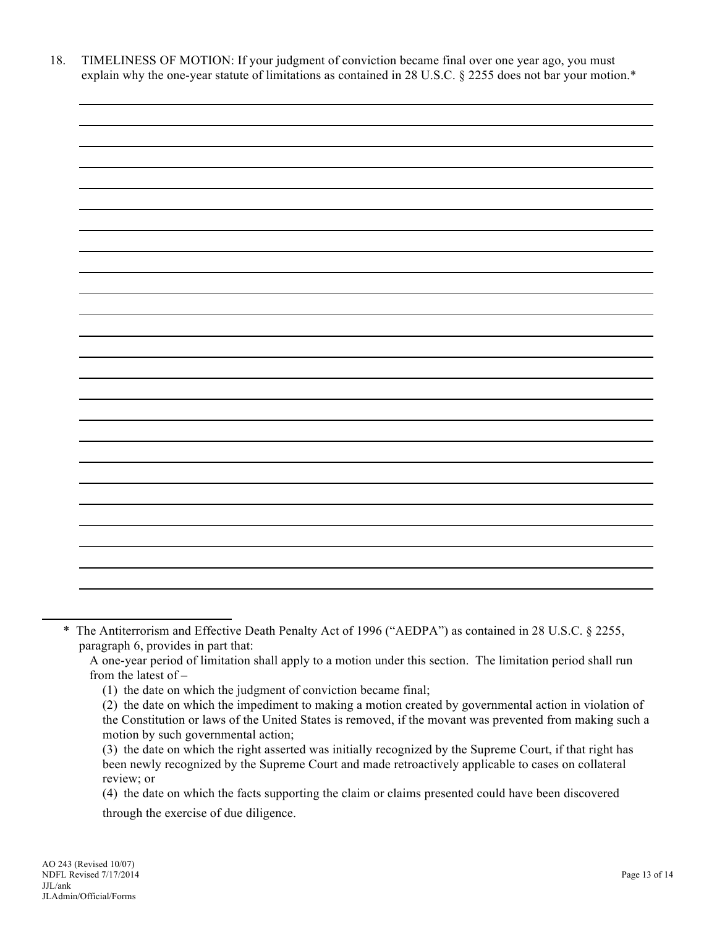18. TIMELINESS OF MOTION: If your judgment of conviction became final over one year ago, you must explain why the one-year statute of limitations as contained in 28 U.S.C. § 2255 does not bar your motion.\*



\* The Antiterrorism and Effective Death Penalty Act of 1996 ("AEDPA") as contained in 28 U.S.C. § 2255, paragraph 6, provides in part that:

A one-year period of limitation shall apply to a motion under this section. The limitation period shall run from the latest of –

<sup>(1)</sup> the date on which the judgment of conviction became final;

<sup>(2)</sup> the date on which the impediment to making a motion created by governmental action in violation of the Constitution or laws of the United States is removed, if the movant was prevented from making such a motion by such governmental action;

<sup>(3)</sup> the date on which the right asserted was initially recognized by the Supreme Court, if that right has been newly recognized by the Supreme Court and made retroactively applicable to cases on collateral review; or

<sup>(4)</sup> the date on which the facts supporting the claim or claims presented could have been discovered through the exercise of due diligence.